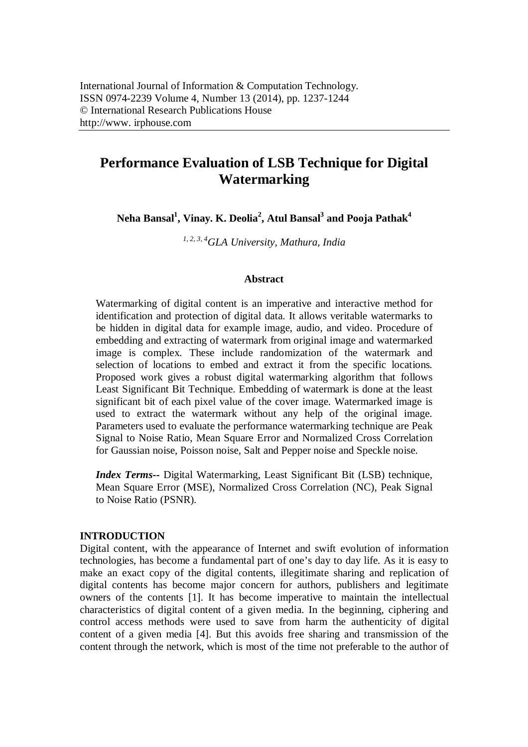# **Performance Evaluation of LSB Technique for Digital Watermarking**

**Neha Bansal<sup>1</sup> , Vinay. K. Deolia<sup>2</sup> , Atul Bansal<sup>3</sup> and Pooja Pathak<sup>4</sup>**

*1, 2, 3, 4GLA University, Mathura, India*

## **Abstract**

Watermarking of digital content is an imperative and interactive method for identification and protection of digital data. It allows veritable watermarks to be hidden in digital data for example image, audio, and video. Procedure of embedding and extracting of watermark from original image and watermarked image is complex. These include randomization of the watermark and selection of locations to embed and extract it from the specific locations. Proposed work gives a robust digital watermarking algorithm that follows Least Significant Bit Technique. Embedding of watermark is done at the least significant bit of each pixel value of the cover image. Watermarked image is used to extract the watermark without any help of the original image. Parameters used to evaluate the performance watermarking technique are Peak Signal to Noise Ratio, Mean Square Error and Normalized Cross Correlation for Gaussian noise, Poisson noise, Salt and Pepper noise and Speckle noise.

*Index Terms--* Digital Watermarking, Least Significant Bit (LSB) technique, Mean Square Error (MSE), Normalized Cross Correlation (NC), Peak Signal to Noise Ratio (PSNR).

#### **INTRODUCTION**

Digital content, with the appearance of Internet and swift evolution of information technologies, has become a fundamental part of one's day to day life. As it is easy to make an exact copy of the digital contents, illegitimate sharing and replication of digital contents has become major concern for authors, publishers and legitimate owners of the contents [1]. It has become imperative to maintain the intellectual characteristics of digital content of a given media. In the beginning, ciphering and control access methods were used to save from harm the authenticity of digital content of a given media [4]. But this avoids free sharing and transmission of the content through the network, which is most of the time not preferable to the author of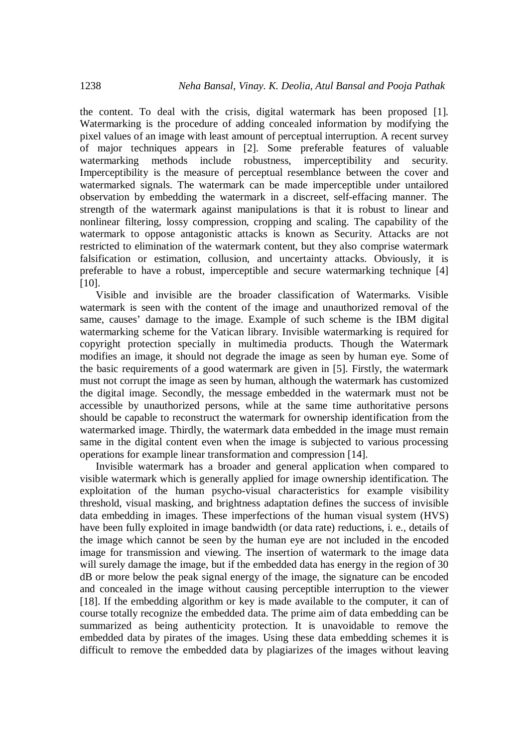the content. To deal with the crisis, digital watermark has been proposed [1]. Watermarking is the procedure of adding concealed information by modifying the pixel values of an image with least amount of perceptual interruption. A recent survey of major techniques appears in [2]. Some preferable features of valuable watermarking methods include robustness, imperceptibility and security. Imperceptibility is the measure of perceptual resemblance between the cover and watermarked signals. The watermark can be made imperceptible under untailored observation by embedding the watermark in a discreet, self-effacing manner. The strength of the watermark against manipulations is that it is robust to linear and nonlinear filtering, lossy compression, cropping and scaling. The capability of the watermark to oppose antagonistic attacks is known as Security. Attacks are not restricted to elimination of the watermark content, but they also comprise watermark falsification or estimation, collusion, and uncertainty attacks. Obviously, it is preferable to have a robust, imperceptible and secure watermarking technique [4] [10].

Visible and invisible are the broader classification of Watermarks. Visible watermark is seen with the content of the image and unauthorized removal of the same, causes' damage to the image. Example of such scheme is the IBM digital watermarking scheme for the Vatican library. Invisible watermarking is required for copyright protection specially in multimedia products. Though the Watermark modifies an image, it should not degrade the image as seen by human eye. Some of the basic requirements of a good watermark are given in [5]. Firstly, the watermark must not corrupt the image as seen by human, although the watermark has customized the digital image. Secondly, the message embedded in the watermark must not be accessible by unauthorized persons, while at the same time authoritative persons should be capable to reconstruct the watermark for ownership identification from the watermarked image. Thirdly, the watermark data embedded in the image must remain same in the digital content even when the image is subjected to various processing operations for example linear transformation and compression [14].

Invisible watermark has a broader and general application when compared to visible watermark which is generally applied for image ownership identification. The exploitation of the human psycho-visual characteristics for example visibility threshold, visual masking, and brightness adaptation defines the success of invisible data embedding in images. These imperfections of the human visual system (HVS) have been fully exploited in image bandwidth (or data rate) reductions, i. e., details of the image which cannot be seen by the human eye are not included in the encoded image for transmission and viewing. The insertion of watermark to the image data will surely damage the image, but if the embedded data has energy in the region of 30 dB or more below the peak signal energy of the image, the signature can be encoded and concealed in the image without causing perceptible interruption to the viewer [18]. If the embedding algorithm or key is made available to the computer, it can of course totally recognize the embedded data. The prime aim of data embedding can be summarized as being authenticity protection. It is unavoidable to remove the embedded data by pirates of the images. Using these data embedding schemes it is difficult to remove the embedded data by plagiarizes of the images without leaving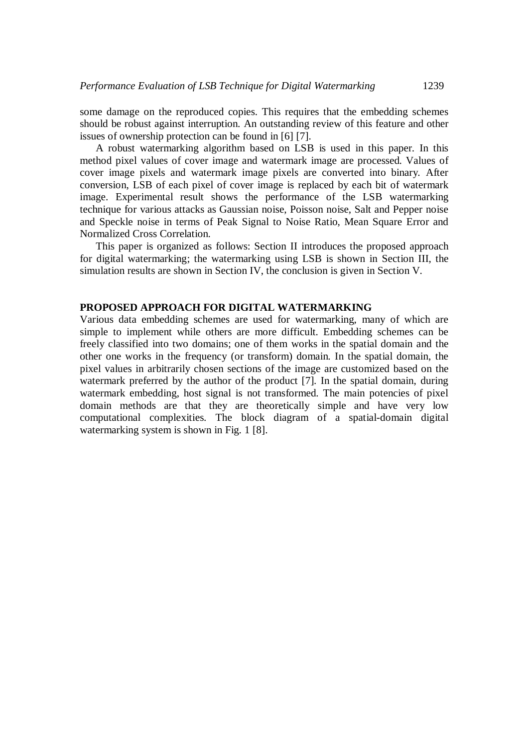some damage on the reproduced copies. This requires that the embedding schemes should be robust against interruption. An outstanding review of this feature and other issues of ownership protection can be found in [6] [7].

A robust watermarking algorithm based on LSB is used in this paper. In this method pixel values of cover image and watermark image are processed. Values of cover image pixels and watermark image pixels are converted into binary. After conversion, LSB of each pixel of cover image is replaced by each bit of watermark image. Experimental result shows the performance of the LSB watermarking technique for various attacks as Gaussian noise, Poisson noise, Salt and Pepper noise and Speckle noise in terms of Peak Signal to Noise Ratio, Mean Square Error and Normalized Cross Correlation.

This paper is organized as follows: Section II introduces the proposed approach for digital watermarking; the watermarking using LSB is shown in Section III, the simulation results are shown in Section IV, the conclusion is given in Section V.

## **PROPOSED APPROACH FOR DIGITAL WATERMARKING**

Various data embedding schemes are used for watermarking, many of which are simple to implement while others are more difficult. Embedding schemes can be freely classified into two domains; one of them works in the spatial domain and the other one works in the frequency (or transform) domain. In the spatial domain, the pixel values in arbitrarily chosen sections of the image are customized based on the watermark preferred by the author of the product [7]. In the spatial domain, during watermark embedding, host signal is not transformed. The main potencies of pixel domain methods are that they are theoretically simple and have very low computational complexities. The block diagram of a spatial-domain digital watermarking system is shown in Fig. 1 [8].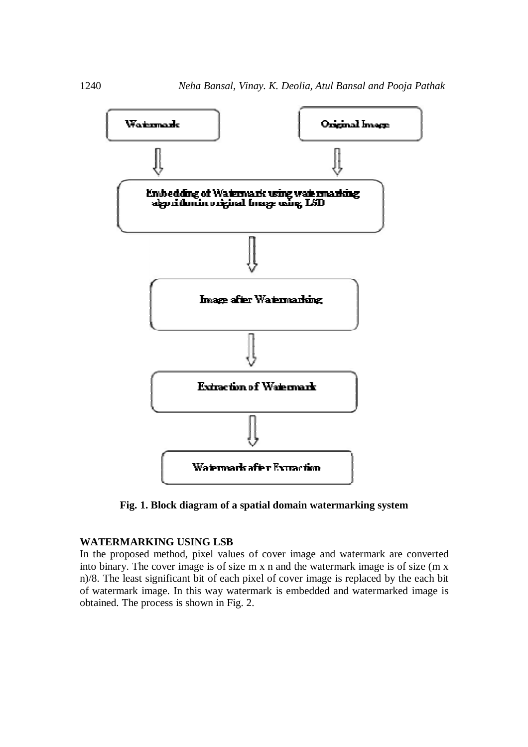

**Fig. 1. Block diagram of a spatial domain watermarking system**

## **WATERMARKING USING LSB**

In the proposed method, pixel values of cover image and watermark are converted into binary. The cover image is of size m x n and the watermark image is of size (m x n)/8. The least significant bit of each pixel of cover image is replaced by the each bit of watermark image. In this way watermark is embedded and watermarked image is obtained. The process is shown in Fig. 2.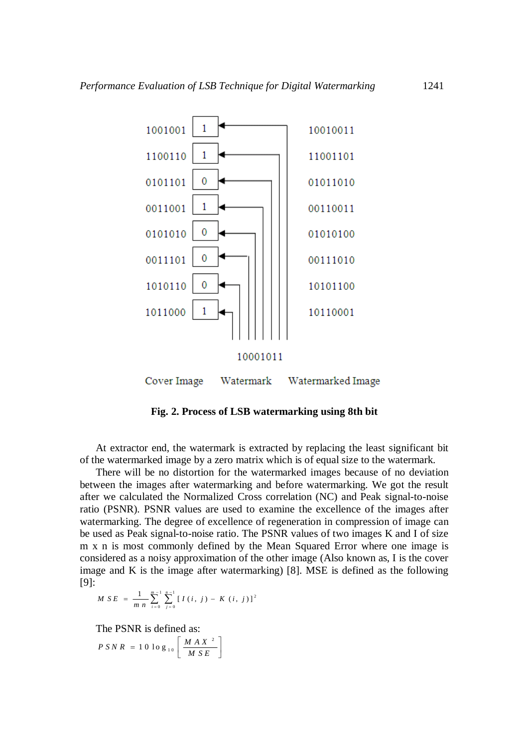

**Fig. 2. Process of LSB watermarking using 8th bit**

At extractor end, the watermark is extracted by replacing the least significant bit of the watermarked image by a zero matrix which is of equal size to the watermark.

There will be no distortion for the watermarked images because of no deviation between the images after watermarking and before watermarking. We got the result after we calculated the Normalized Cross correlation (NC) and Peak signal-to-noise ratio (PSNR). PSNR values are used to examine the excellence of the images after watermarking. The degree of excellence of regeneration in compression of image can be used as Peak signal-to-noise ratio. The PSNR values of two images K and I of size m x n is most commonly defined by the Mean Squared Error where one image is considered as a noisy approximation of the other image (Also known as, I is the cover image and K is the image after watermarking) [8]. MSE is defined as the following [9]:

$$
M \; S \; E \; = \; \frac{1}{m \; n} \sum_{i=0}^{m-1} \sum_{j=0}^{n-1} \left[ \; I \left( \; i \; , \; j \; \right) \; - \; K \; \left( \; i \; , \; j \; \right) \; \right]^2
$$

The PSNR is defined as:

$$
P \, SN \, R = 10 \log_{10} \left[ \frac{M \, A \, X^2}{M \, S \, E} \right]
$$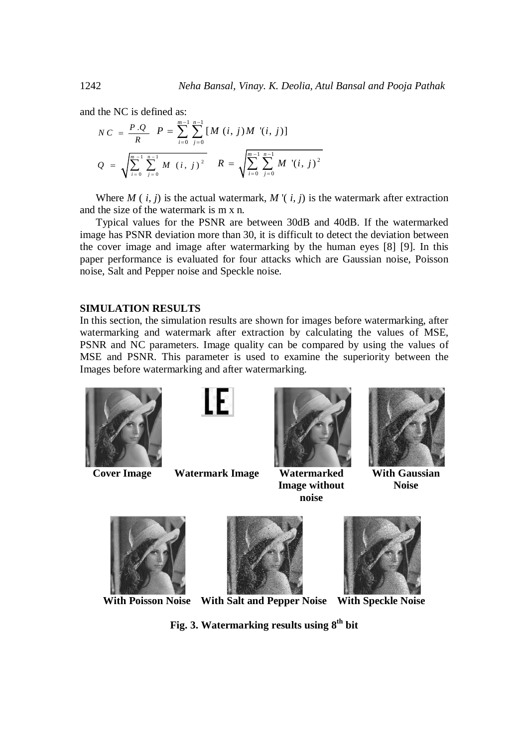and the NC is defined as:

$$
NC = \frac{P \cdot Q}{R} \quad P = \sum_{i=0}^{m-1} \sum_{j=0}^{n-1} [M(i, j)M' (i, j)]
$$
  

$$
Q = \sqrt{\sum_{i=0}^{m-1} \sum_{j=0}^{n-1} M(i, j)^2} \quad R = \sqrt{\sum_{i=0}^{m-1} \sum_{j=0}^{n-1} M' (i, j)^2}
$$

Where  $M(i, j)$  is the actual watermark,  $M'(i, j)$  is the watermark after extraction and the size of the watermark is m x n.

Typical values for the PSNR are between 30dB and 40dB. If the watermarked image has PSNR deviation more than 30, it is difficult to detect the deviation between the cover image and image after watermarking by the human eyes [8] [9]. In this paper performance is evaluated for four attacks which are Gaussian noise, Poisson noise, Salt and Pepper noise and Speckle noise.

## **SIMULATION RESULTS**

In this section, the simulation results are shown for images before watermarking, after watermarking and watermark after extraction by calculating the values of MSE, PSNR and NC parameters. Image quality can be compared by using the values of MSE and PSNR. This parameter is used to examine the superiority between the Images before watermarking and after watermarking.





**Cover Image Watermark Image Watermarked** 



**Image without noise**



**With Gaussian Noise**





**With Poisson Noise With Salt and Pepper Noise With Speckle Noise**



**Fig. 3. Watermarking results using 8th bit**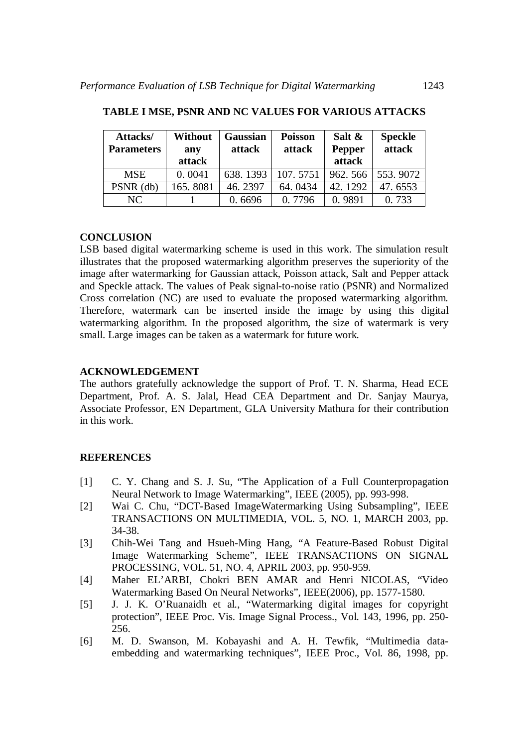| Attacks/<br><b>Parameters</b> | Without<br>any | Gaussian<br>attack | <b>Poisson</b><br>attack | Salt &<br>Pepper | <b>Speckle</b><br>attack |
|-------------------------------|----------------|--------------------|--------------------------|------------------|--------------------------|
|                               | attack         |                    |                          | attack           |                          |
| <b>MSE</b>                    | 0.0041         | 638.1393           | 107.5751                 | 962.566          | 553.9072                 |
| PSNR (db)                     | 165.8081       | 46.2397            | 64.0434                  | 42.1292          | 47.6553                  |
| NC.                           |                | 0.6696             | 0.7796                   | 0.9891           | 0.733                    |

**TABLE I MSE, PSNR AND NC VALUES FOR VARIOUS ATTACKS**

## **CONCLUSION**

LSB based digital watermarking scheme is used in this work. The simulation result illustrates that the proposed watermarking algorithm preserves the superiority of the image after watermarking for Gaussian attack, Poisson attack, Salt and Pepper attack and Speckle attack. The values of Peak signal-to-noise ratio (PSNR) and Normalized Cross correlation (NC) are used to evaluate the proposed watermarking algorithm. Therefore, watermark can be inserted inside the image by using this digital watermarking algorithm. In the proposed algorithm, the size of watermark is very small. Large images can be taken as a watermark for future work.

## **ACKNOWLEDGEMENT**

The authors gratefully acknowledge the support of Prof. T. N. Sharma, Head ECE Department, Prof. A. S. Jalal, Head CEA Department and Dr. Sanjay Maurya, Associate Professor, EN Department, GLA University Mathura for their contribution in this work.

## **REFERENCES**

- [1] C. Y. Chang and S. J. Su, "The Application of a Full Counterpropagation Neural Network to Image Watermarking", IEEE (2005), pp. 993-998.
- [2] Wai C. Chu, "DCT-Based ImageWatermarking Using Subsampling", IEEE TRANSACTIONS ON MULTIMEDIA, VOL. 5, NO. 1, MARCH 2003, pp. 34-38.
- [3] Chih-Wei Tang and Hsueh-Ming Hang, "A Feature-Based Robust Digital Image Watermarking Scheme", IEEE TRANSACTIONS ON SIGNAL PROCESSING, VOL. 51, NO. 4, APRIL 2003, pp. 950-959.
- [4] Maher EL'ARBI, Chokri BEN AMAR and Henri NICOLAS, "Video Watermarking Based On Neural Networks", IEEE(2006), pp. 1577-1580.
- [5] J. J. K. O'Ruanaidh et al., "Watermarking digital images for copyright protection", IEEE Proc. Vis. Image Signal Process., Vol. 143, 1996, pp. 250- 256.
- [6] M. D. Swanson, M. Kobayashi and A. H. Tewfik, "Multimedia dataembedding and watermarking techniques", IEEE Proc., Vol. 86, 1998, pp.